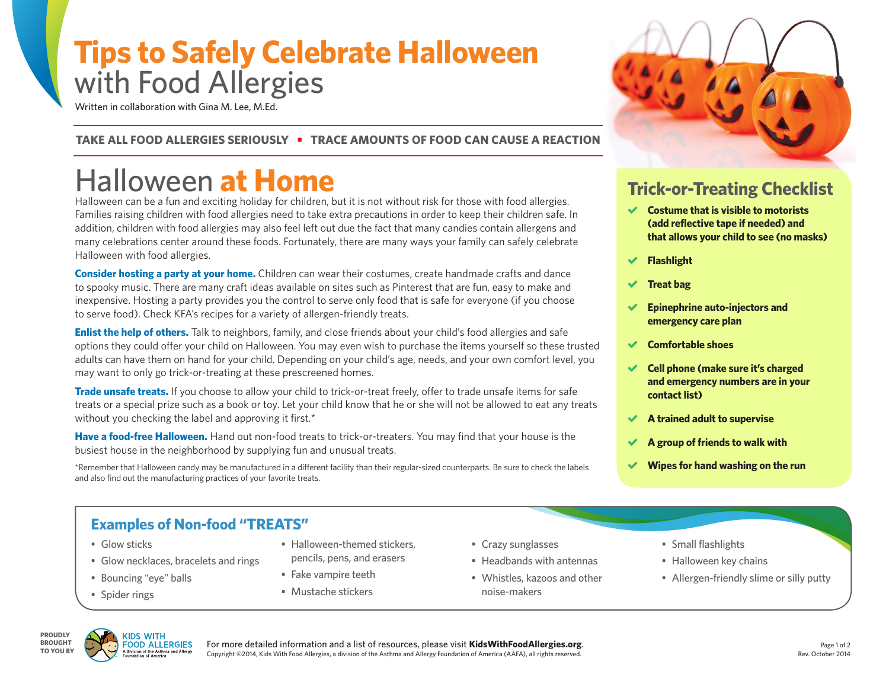# **Tips to Safely Celebrate Halloween**  with Food Allergies

Written in collaboration with Gina M. Lee, M.Ed.

#### **TAKE ALL FOOD ALLERGIES SERIOUSLY • TRACE AMOUNTS OF FOOD CAN CAUSE A REACTION**

# Halloween **at Home**

Halloween can be a fun and exciting holiday for children, but it is not without risk for those with food allergies. Families raising children with food allergies need to take extra precautions in order to keep their children safe. In addition, children with food allergies may also feel left out due the fact that many candies contain allergens and many celebrations center around these foods. Fortunately, there are many ways your family can safely celebrate Halloween with food allergies.

**Consider hosting a party at your home.** Children can wear their costumes, create handmade crafts and dance to spooky music. There are many craft ideas available on sites such as Pinterest that are fun, easy to make and inexpensive. Hosting a party provides you the control to serve only food that is safe for everyone (if you choose to serve food). Check KFA's recipes for a variety of allergen-friendly treats.

**Enlist the help of others.** Talk to neighbors, family, and close friends about your child's food allergies and safe options they could offer your child on Halloween. You may even wish to purchase the items yourself so these trusted adults can have them on hand for your child. Depending on your child's age, needs, and your own comfort level, you may want to only go trick-or-treating at these prescreened homes.

**Trade unsafe treats.** If you choose to allow your child to trick-or-treat freely, offer to trade unsafe items for safe treats or a special prize such as a book or toy. Let your child know that he or she will not be allowed to eat any treats without you checking the label and approving it first.\*

**Have a food-free Halloween.** Hand out non-food treats to trick-or-treaters. You may find that your house is the busiest house in the neighborhood by supplying fun and unusual treats.

\*Remember that Halloween candy may be manufactured in a different facility than their regular-sized counterparts. Be sure to check the labels and also find out the manufacturing practices of your favorite treats.

## **Trick-or-Treating Checklist**

- **Costume that is visible to motorists (add reflective tape if needed) and that allows your child to see (no masks)**
- **Flashlight**
- **Treat bag**
- **Epinephrine auto-injectors and emergency care plan**
- **Comfortable shoes**
- **Cell phone (make sure it's charged and emergency numbers are in your contact list)**
- **A trained adult to supervise**
- **A group of friends to walk with**
- **Wipes for hand washing on the run**

### **Examples of Non-food "TREATS"**

- Glow sticks
- Glow necklaces, bracelets and rings
- Bouncing "eye" balls
- Spider rings
- Halloween-themed stickers, pencils, pens, and erasers
- Fake vampire teeth
- Mustache stickers
- Crazy sunglasses
- Headbands with antennas
- Whistles, kazoos and other noise-makers
- Small flashlights
- Halloween key chains
- Allergen-friendly slime or silly putty